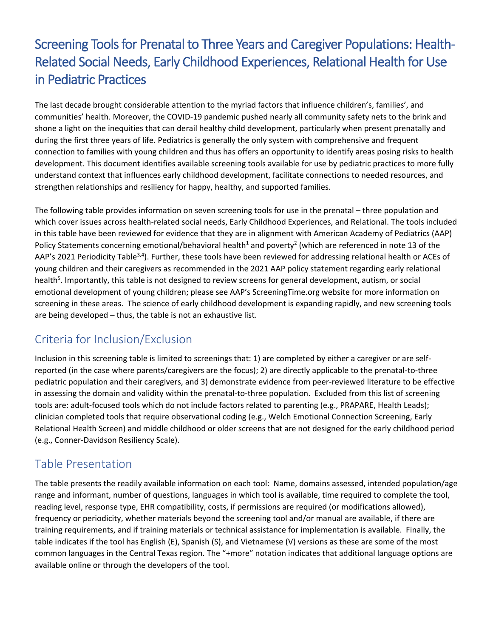# Screening Tools for Prenatal to Three Years and Caregiver Populations: Health-Related Social Needs, Early Childhood Experiences, Relational Health for Use in Pediatric Practices

The last decade brought considerable attention to the myriad factors that influence children's, families', and communities' health. Moreover, the COVID-19 pandemic pushed nearly all community safety nets to the brink and shone a light on the inequities that can derail healthy child development, particularly when present prenatally and during the first three years of life. Pediatrics is generally the only system with comprehensive and frequent connection to families with young children and thus has offers an opportunity to identify areas posing risks to health development. This document identifies available screening tools available for use by pediatric practices to more fully understand context that influences early childhood development, facilitate connections to needed resources, and strengthen relationships and resiliency for happy, healthy, and supported families.

The following table provides information on seven screening tools for use in the prenatal – three population and which cover issues across health-related social needs, Early Childhood Experiences, and Relational. The tools included in this table have been reviewed for evidence that they are in alignment with American Academy of Pediatrics (AAP) Policy Statements concerning emotional/behavioral health<sup>1</sup> and poverty<sup>2</sup> (which are referenced in note 13 of the AAP's 2021 Periodicity Table<sup>3,4</sup>). Further, these tools have been reviewed for addressing relational health or ACEs of young children and their caregivers as recommended in the 2021 AAP policy statement regarding early relational health<sup>5</sup>. Importantly, this table is not designed to review screens for general development, autism, or social emotional development of young children; please see AAP's ScreeningTime.org website for more information on screening in these areas. The science of early childhood development is expanding rapidly, and new screening tools are being developed – thus, the table is not an exhaustive list.

### Criteria for Inclusion/Exclusion

Inclusion in this screening table is limited to screenings that: 1) are completed by either a caregiver or are selfreported (in the case where parents/caregivers are the focus); 2) are directly applicable to the prenatal-to-three pediatric population and their caregivers, and 3) demonstrate evidence from peer-reviewed literature to be effective in assessing the domain and validity within the prenatal-to-three population. Excluded from this list of screening tools are: adult-focused tools which do not include factors related to parenting (e.g., PRAPARE, Health Leads); clinician completed tools that require observational coding (e.g., Welch Emotional Connection Screening, Early Relational Health Screen) and middle childhood or older screens that are not designed for the early childhood period (e.g., Conner-Davidson Resiliency Scale).

### Table Presentation

The table presents the readily available information on each tool: Name, domains assessed, intended population/age range and informant, number of questions, languages in which tool is available, time required to complete the tool, reading level, response type, EHR compatibility, costs, if permissions are required (or modifications allowed), frequency or periodicity, whether materials beyond the screening tool and/or manual are available, if there are training requirements, and if training materials or technical assistance for implementation is available. Finally, the table indicates if the tool has English (E), Spanish (S), and Vietnamese (V) versions as these are some of the most common languages in the Central Texas region. The "+more" notation indicates that additional language options are available online or through the developers of the tool.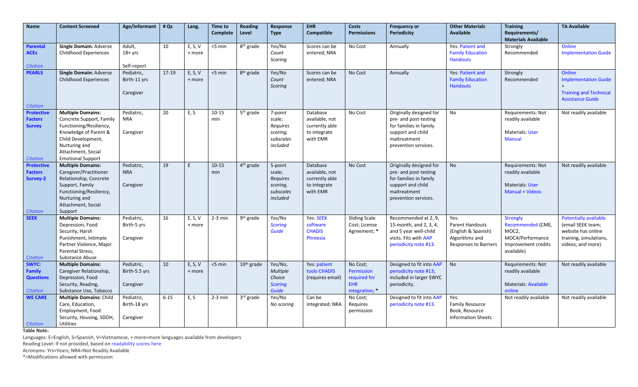| <b>Name</b>                         | <b>Content Screened</b>                              | Age/Informant            | # Qs      | Lang.   | <b>Time to</b><br><b>Complete</b> | Reading<br>Level       | Response<br><b>Type</b>  | FHR<br>Compatible          | <b>Costs</b><br><b>Permissions</b> | <b>Frequency or</b><br><b>Periodicity</b>        | <b>Other Materials</b><br><b>Available</b>    | <b>Training</b><br>Requirements/       | <b>TA Available</b>                     |
|-------------------------------------|------------------------------------------------------|--------------------------|-----------|---------|-----------------------------------|------------------------|--------------------------|----------------------------|------------------------------------|--------------------------------------------------|-----------------------------------------------|----------------------------------------|-----------------------------------------|
|                                     |                                                      |                          |           |         |                                   |                        |                          |                            |                                    |                                                  |                                               | <b>Materials Available</b>             |                                         |
| <b>Parental</b>                     | Single Domain: Adverse                               | Adult,                   | 10        | E, S, V | <5 min                            | 8 <sup>th</sup> grade  | Yes/No                   | Scores can be              | No Cost                            | Annually                                         | Yes: Patient and                              | Strongly                               | Online                                  |
| <b>ACEs</b>                         | Childhood Experiences                                | $18 + yrs$               |           | + more  |                                   |                        | Count<br>Scoring         | entered; NRA               |                                    |                                                  | <b>Family Education</b><br><b>Handouts</b>    | Recommended                            | <b>Implementation Guide</b>             |
| Citation                            |                                                      | Self-report              |           |         |                                   |                        |                          |                            |                                    |                                                  |                                               |                                        |                                         |
| <b>PEARLS</b>                       | <b>Single Domain: Adverse</b>                        | Pediatric,               | $17 - 19$ | E, S, V | <5 min                            | 8 <sup>th</sup> grade  | Yes/No                   | Scores can be              | No Cost                            | Annually                                         | <b>Yes: Patient and</b>                       | Strongly                               | Online                                  |
|                                     | <b>Childhood Experiences</b>                         | Birth-11 yrs             |           | + more  |                                   |                        | Count                    | entered; NRA               |                                    |                                                  | <b>Family Education</b><br><b>Handouts</b>    | Recommended                            | <b>Implementation Guide</b>             |
|                                     |                                                      | Caregiver                |           |         |                                   |                        | Scoring                  |                            |                                    |                                                  |                                               |                                        | <b>Training and Technical</b>           |
|                                     |                                                      |                          |           |         |                                   |                        |                          |                            |                                    |                                                  |                                               |                                        | <b>Assistance Guide</b>                 |
| <b>Citation</b>                     |                                                      |                          |           |         |                                   |                        |                          |                            |                                    |                                                  |                                               |                                        |                                         |
| <b>Protective</b><br><b>Factors</b> | <b>Multiple Domains:</b><br>Concrete Support, Family | Pediatric,<br><b>NRA</b> | 20        | E, S    | $10 - 15$<br>min                  | 5 <sup>th</sup> grade  | 7-point<br>scale;        | Database<br>available, not | No Cost                            | Originally designed for<br>pre- and post-testing | No                                            | Requirements: Not<br>readily available | Not readily available                   |
| <b>Survey</b>                       | Functioning/Resiliency,                              |                          |           |         |                                   |                        | Requires                 | currently able             |                                    | for families in family                           |                                               |                                        |                                         |
|                                     | Knowledge of Parent &                                | Caregiver                |           |         |                                   |                        | scoring,                 | to integrate               |                                    | support and child                                |                                               | <b>Materials: User</b>                 |                                         |
|                                     | Child Development,                                   |                          |           |         |                                   |                        | subscales                | with EMR                   |                                    | maltreatment                                     |                                               | <b>Manual</b>                          |                                         |
|                                     | Nurturing and                                        |                          |           |         |                                   |                        | included                 |                            |                                    | prevention services.                             |                                               |                                        |                                         |
|                                     | Attachment, Social                                   |                          |           |         |                                   |                        |                          |                            |                                    |                                                  |                                               |                                        |                                         |
| <b>Citation</b>                     | <b>Emotional Support</b>                             |                          | 19        | E       |                                   |                        |                          |                            |                                    |                                                  | <b>No</b>                                     |                                        |                                         |
| <b>Protective</b><br><b>Factors</b> | <b>Multiple Domains:</b><br>Caregiver/Practitioner   | Pediatric,<br><b>NRA</b> |           |         | $10 - 15$<br>min                  | 4 <sup>th</sup> grade  | 5-point<br>scale;        | Database<br>available, not | No Cost                            | Originally designed for<br>pre- and post-testing |                                               | Requirements: Not<br>readily available | Not readily available                   |
| Survey-2                            | Relationship, Concrete                               |                          |           |         |                                   |                        | Requires                 | currently able             |                                    | for families in family                           |                                               |                                        |                                         |
|                                     | Support, Family                                      | Caregiver                |           |         |                                   |                        | scoring,                 | to integrate               |                                    | support and child                                |                                               | <b>Materials: User</b>                 |                                         |
|                                     | Functioning/Resiliency,                              |                          |           |         |                                   |                        | subscales                | with EMR                   |                                    | maltreatment                                     |                                               | Manual + Videos                        |                                         |
|                                     | Nurturing and                                        |                          |           |         |                                   |                        | included                 |                            |                                    | prevention services.                             |                                               |                                        |                                         |
|                                     | Attachment, Social                                   |                          |           |         |                                   |                        |                          |                            |                                    |                                                  |                                               |                                        |                                         |
| <b>Citation</b>                     | Support                                              |                          |           |         |                                   |                        |                          |                            |                                    |                                                  |                                               |                                        |                                         |
| <b>SEEK</b>                         | <b>Multiple Domains:</b>                             | Pediatric,               | 16        | E, S, V | $2-3$ min                         | 9 <sup>th</sup> grade  | Yes/No                   | Yes: SEEK                  | <b>Sliding Scale</b>               | Recommended at 2, 9,                             | Yes:                                          | <b>Strongly</b>                        | <b>Potentially available</b>            |
|                                     | Depression, Food<br>Security, Harsh                  | Birth-5 yrs              |           | + more  |                                   |                        | <b>Scoring</b><br>Guide  | software<br><b>CHADIS</b>  | Cost; License<br>Agreement; *      | 15-month, and 2, 3, 4,<br>and 5 year well-child  | <b>Parent Handouts</b><br>(English & Spanish) | Recommended (CME,<br>MOC2,             | (email SEEK team;<br>website has online |
|                                     | Punishment, Intimate                                 | Caregiver                |           |         |                                   |                        |                          | Phreesia                   |                                    | visits. Fits with AAP                            | Algorithms and                                | MOC4/Performance                       | training, simulations,                  |
|                                     | Partner Violence, Major                              |                          |           |         |                                   |                        |                          |                            |                                    | periodicity note #13.                            | <b>Responses to Barriers</b>                  | Improvement credits                    | videos, and more)                       |
|                                     | Parental Stress,                                     |                          |           |         |                                   |                        |                          |                            |                                    |                                                  |                                               | available)                             |                                         |
| Citation                            | Substance Abuse                                      |                          |           |         |                                   |                        |                          |                            |                                    |                                                  |                                               |                                        |                                         |
| SWYC:                               | <b>Multiple Domains:</b>                             | Pediatric,               | 10        | E, S, V | <5 min                            | 10 <sup>th</sup> grade | Yes/No,                  | Yes: patient               | No Cost;                           | Designed to fit into AAP                         | <b>No</b>                                     | <b>Requirements: Not</b>               | Not readily available                   |
| <b>Family</b>                       | Caregiver Relationship,                              | Birth-5.5 yrs            |           | + more  |                                   |                        | <b>Multiple</b>          | tools CHADIS               | <b>Permission</b>                  | periodicity note #13;                            |                                               | readily available                      |                                         |
| <b>Questions</b>                    | Depression, Food<br>Security, Reading,               |                          |           |         |                                   |                        | Choice<br><b>Scoring</b> | (requires email)           | required for<br><b>EHR</b>         | included in larger SWYC<br>periodicity.          |                                               | <b>Materials: Available</b>            |                                         |
| <b>Citation</b>                     | Substance Use, Tobacco                               | Caregiver                |           |         |                                   |                        | Guide                    |                            | integration; *                     |                                                  |                                               | online                                 |                                         |
| <b>WE CARE</b>                      | Multiple Domains: Child                              | Pediatric,               | $6 - 15$  | E, S    | $2-3$ min                         | 3rd grade              | Yes/No                   | Can be                     | No Cost;                           | Designed to fit into AAP                         | Yes:                                          | Not readily available                  | Not readily available                   |
|                                     | Care, Education,                                     | Birth-18 yrs             |           |         |                                   |                        | No scoring               | integrated; NRA            | Requires                           | periodicity note #13.                            | <b>Family Resource</b>                        |                                        |                                         |
|                                     | Employment, Food                                     |                          |           |         |                                   |                        |                          |                            | permission                         |                                                  | Book, Resource                                |                                        |                                         |
|                                     | Security, Housing, SDOH,                             | Caregiver                |           |         |                                   |                        |                          |                            |                                    |                                                  | <b>Information Sheets</b>                     |                                        |                                         |
| <b>Citation</b>                     | <b>Utilities</b>                                     |                          |           |         |                                   |                        |                          |                            |                                    |                                                  |                                               |                                        |                                         |

**Table Note:**

Languages: E=English, S=Spanish, V=Vietnamese, + more=more languages available from developers

Reading Level: If not provided, based o[n readability scores here](https://readabilityformulas.com/freetests/six-readability-formulas.php)

Acronyms: Yrs=Years; NRA=Not Readily Available

\*=Modifications allowed with permission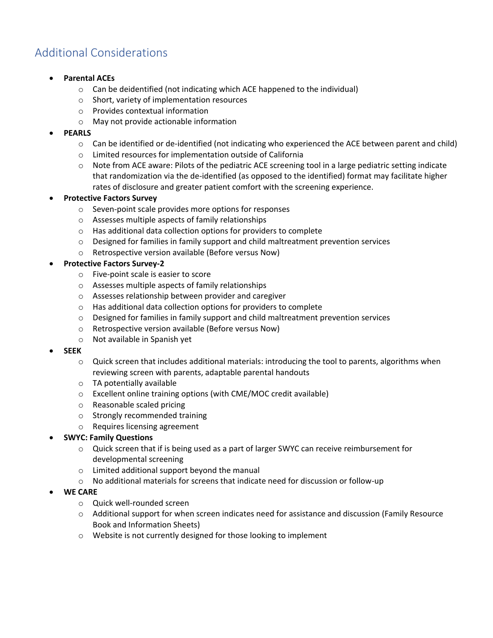## Additional Considerations

- **Parental ACEs**
	- o Can be deidentified (not indicating which ACE happened to the individual)
	- o Short, variety of implementation resources
	- o Provides contextual information
	- o May not provide actionable information

#### • **PEARLS**

- $\circ$  Can be identified or de-identified (not indicating who experienced the ACE between parent and child)
- o Limited resources for implementation outside of California
- $\circ$  Note from ACE aware: Pilots of the pediatric ACE screening tool in a large pediatric setting indicate that randomization via the de-identified (as opposed to the identified) format may facilitate higher rates of disclosure and greater patient comfort with the screening experience.

#### • **Protective Factors Survey**

- o Seven-point scale provides more options for responses
- o Assesses multiple aspects of family relationships
- o Has additional data collection options for providers to complete
- $\circ$  Designed for families in family support and child maltreatment prevention services
- o Retrospective version available (Before versus Now)

#### • **Protective Factors Survey-2**

- o Five-point scale is easier to score
- o Assesses multiple aspects of family relationships
- o Assesses relationship between provider and caregiver
- o Has additional data collection options for providers to complete
- o Designed for families in family support and child maltreatment prevention services
- o Retrospective version available (Before versus Now)
- o Not available in Spanish yet

#### • **SEEK**

- o Quick screen that includes additional materials: introducing the tool to parents, algorithms when reviewing screen with parents, adaptable parental handouts
- o TA potentially available
- o Excellent online training options (with CME/MOC credit available)
- o Reasonable scaled pricing
- o Strongly recommended training
- o Requires licensing agreement

#### • **SWYC: Family Questions**

- o Quick screen that if is being used as a part of larger SWYC can receive reimbursement for developmental screening
- o Limited additional support beyond the manual
- o No additional materials for screens that indicate need for discussion or follow-up

#### • **WE CARE**

- o Quick well-rounded screen
- o Additional support for when screen indicates need for assistance and discussion (Family Resource Book and Information Sheets)
- o Website is not currently designed for those looking to implement